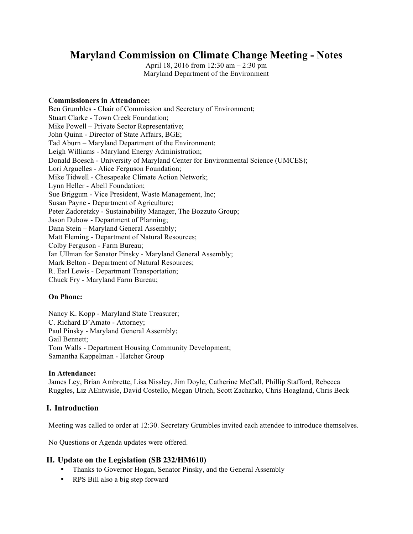# **Maryland Commission on Climate Change Meeting - Notes**

April 18, 2016 from 12:30 am – 2:30 pm Maryland Department of the Environment

#### **Commissioners in Attendance:**

Ben Grumbles - Chair of Commission and Secretary of Environment; Stuart Clarke - Town Creek Foundation; Mike Powell – Private Sector Representative; John Quinn - Director of State Affairs, BGE; Tad Aburn – Maryland Department of the Environment; Leigh Williams - Maryland Energy Administration; Donald Boesch - University of Maryland Center for Environmental Science (UMCES); Lori Arguelles - Alice Ferguson Foundation; Mike Tidwell - Chesapeake Climate Action Network; Lynn Heller - Abell Foundation; Sue Briggum - Vice President, Waste Management, Inc; Susan Payne - Department of Agriculture; Peter Zadoretzky - Sustainability Manager, The Bozzuto Group; Jason Dubow - Department of Planning; Dana Stein – Maryland General Assembly; Matt Fleming - Department of Natural Resources; Colby Ferguson - Farm Bureau; Ian Ullman for Senator Pinsky - Maryland General Assembly; Mark Belton - Department of Natural Resources; R. Earl Lewis - Department Transportation; Chuck Fry - Maryland Farm Bureau;

### **On Phone:**

Nancy K. Kopp - Maryland State Treasurer; C. Richard D'Amato - Attorney; Paul Pinsky - Maryland General Assembly; Gail Bennett; Tom Walls - Department Housing Community Development; Samantha Kappelman - Hatcher Group

#### **In Attendance:**

James Ley, Brian Ambrette, Lisa Nissley, Jim Doyle, Catherine McCall, Phillip Stafford, Rebecca Ruggles, Liz AEntwisle, David Costello, Megan Ulrich, Scott Zacharko, Chris Hoagland, Chris Beck

### **I. Introduction**

Meeting was called to order at 12:30. Secretary Grumbles invited each attendee to introduce themselves.

No Questions or Agenda updates were offered.

### **II. Update on the Legislation (SB 232/HM610)**

- Thanks to Governor Hogan, Senator Pinsky, and the General Assembly
- RPS Bill also a big step forward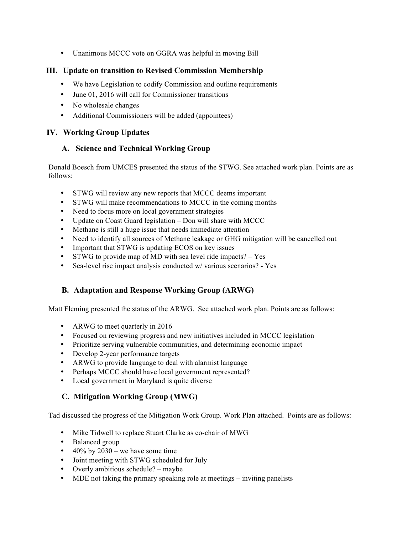• Unanimous MCCC vote on GGRA was helpful in moving Bill

# **III. Update on transition to Revised Commission Membership**

- We have Legislation to codify Commission and outline requirements
- June 01, 2016 will call for Commissioner transitions
- No wholesale changes
- Additional Commissioners will be added (appointees)

# **IV. Working Group Updates**

# **A. Science and Technical Working Group**

Donald Boesch from UMCES presented the status of the STWG. See attached work plan. Points are as follows:

- STWG will review any new reports that MCCC deems important
- STWG will make recommendations to MCCC in the coming months
- Need to focus more on local government strategies
- Update on Coast Guard legislation Don will share with MCCC
- Methane is still a huge issue that needs immediate attention
- Need to identify all sources of Methane leakage or GHG mitigation will be cancelled out
- Important that STWG is updating ECOS on key issues
- STWG to provide map of MD with sea level ride impacts? Yes
- Sea-level rise impact analysis conducted w/ various scenarios? Yes

# **B. Adaptation and Response Working Group (ARWG)**

Matt Fleming presented the status of the ARWG. See attached work plan. Points are as follows:

- ARWG to meet quarterly in 2016
- Focused on reviewing progress and new initiatives included in MCCC legislation
- Prioritize serving vulnerable communities, and determining economic impact
- Develop 2-year performance targets
- ARWG to provide language to deal with alarmist language
- Perhaps MCCC should have local government represented?
- Local government in Maryland is quite diverse

# **C. Mitigation Working Group (MWG)**

Tad discussed the progress of the Mitigation Work Group. Work Plan attached. Points are as follows:

- Mike Tidwell to replace Stuart Clarke as co-chair of MWG
- Balanced group
- 40% by  $2030$  we have some time
- Joint meeting with STWG scheduled for July
- Overly ambitious schedule? maybe
- MDE not taking the primary speaking role at meetings inviting panelists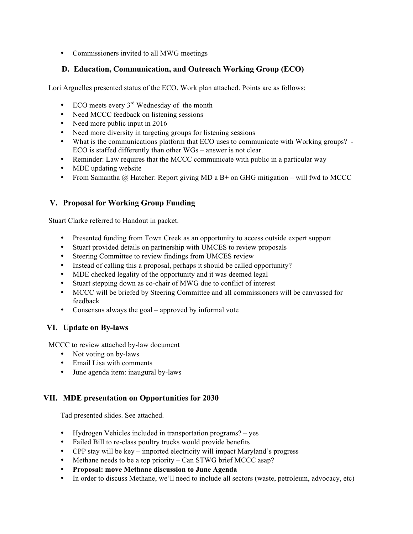• Commissioners invited to all MWG meetings

### **D. Education, Communication, and Outreach Working Group (ECO)**

Lori Arguelles presented status of the ECO. Work plan attached. Points are as follows:

- ECO meets every  $3<sup>rd</sup>$  Wednesday of the month
- Need MCCC feedback on listening sessions
- Need more public input in 2016
- Need more diversity in targeting groups for listening sessions
- What is the communications platform that ECO uses to communicate with Working groups? ECO is staffed differently than other WGs – answer is not clear.
- Reminder: Law requires that the MCCC communicate with public in a particular way
- MDE updating website
- From Samantha @ Hatcher: Report giving MD a B+ on GHG mitigation will fwd to MCCC

### **V. Proposal for Working Group Funding**

Stuart Clarke referred to Handout in packet.

- Presented funding from Town Creek as an opportunity to access outside expert support
- Stuart provided details on partnership with UMCES to review proposals
- Steering Committee to review findings from UMCES review
- Instead of calling this a proposal, perhaps it should be called opportunity?
- MDE checked legality of the opportunity and it was deemed legal
- Stuart stepping down as co-chair of MWG due to conflict of interest
- MCCC will be briefed by Steering Committee and all commissioners will be canvassed for feedback
- Consensus always the goal approved by informal vote

### **VI. Update on By-laws**

MCCC to review attached by-law document

- Not voting on by-laws
- Email Lisa with comments
- June agenda item: inaugural by-laws

# **VII. MDE presentation on Opportunities for 2030**

Tad presented slides. See attached.

- Hydrogen Vehicles included in transportation programs? yes
- Failed Bill to re-class poultry trucks would provide benefits
- CPP stay will be key imported electricity will impact Maryland's progress
- Methane needs to be a top priority Can STWG brief MCCC asap?
- **Proposal: move Methane discussion to June Agenda**
- In order to discuss Methane, we'll need to include all sectors (waste, petroleum, advocacy, etc)